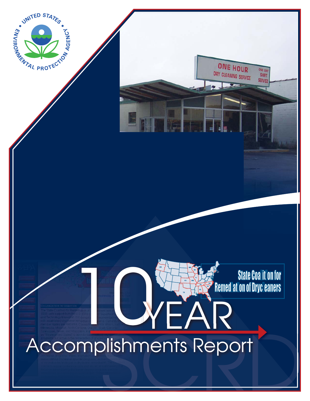

# SCRD mplishmen YEAR Accomplishments Report

**COLOGY State Coal it on for**<br>Remed at on of Dryc eaners

ONE HOUR

DRY CLEANING SERVICE

ONE DAY

**SERVICE**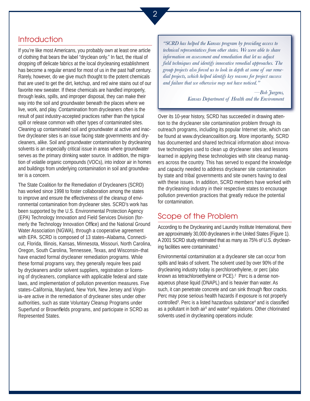### Introduction

If you're like most Americans, you probably own at least one article of clothing that bears the label "dryclean only." In fact, the ritual of dropping off delicate fabrics at the local drycleaning establishment has become a regular errand for most of us in the past half century. Rarely, however, do we give much thought to the potent chemicals that are used to get the dirt, ketchup, and red wine stains out of our favorite new sweater. If these chemicals are handled improperly, through leaks, spills, and improper disposal, they can make their way into the soil and groundwater beneath the places where we live, work, and play. Contamination from drycleaners often is the result of past industry-accepted practices rather than the typical spill or release common with other types of contaminated sites. Cleaning up contaminated soil and groundwater at active and inactive drycleaner sites is an issue facing state governments and drycleaners, alike. Soil and groundwater contamination by drycleaning solvents is an especially critical issue in areas where groundwater serves as the primary drinking water source. In addition, the migration of volatile organic compounds (VOCs), into indoor air in homes and buildings from underlying contamination in soil and groundwater is a concern.

The State Coalition for the Remediation of Drycleaners (SCRD) has worked since 1998 to foster collaboration among the states to improve and ensure the effectiveness of the cleanup of environmental contamination from drycleaner sites. SCRD's work has been supported by the U.S. Environmental Protection Agency (EPA) Technology Innovation and Field Services Division (formerly the Technology Innovation Office) and the National Ground Water Association (NGWA), through a cooperative agreement with EPA. SCRD is composed of 13 states–Alabama, Connecticut, Florida, Illinois, Kansas, Minnesota, Missouri, North Carolina, Oregon, South Carolina, Tennessee, Texas, and Wisconsin–that have enacted formal drycleaner remediation programs. While these formal programs vary, they generally require fees paid by drycleaners and/or solvent suppliers, registration or licensing of drycleaners, compliance with applicable federal and state laws, and implementation of pollution prevention measures. Five states–California, Maryland, New York, New Jersey and Virginia–are active in the remediation of drycleaner sites under other authorities, such as state Voluntary Cleanup Programs under Superfund or Brownfields programs, and participate in SCRD as Represented States.

*"SCRD has helped the Kansas program by providing access to technical representatives from other states. We were able to share information on assessment and remediation that let us adjust field techniques and identify innovative remedial approaches. The group projects also forced us to look in depth at some of our remedial projects, which helped identify key reasons for project success and failure that we otherwise may not have noticed."* 

> *—Bob Jurgens, Kansas Department of Health and the Environment*

Over its 10-year history, SCRD has succeeded in drawing attention to the drycleaner site contamination problem through its outreach programs, including its popular Internet site, which can be found at www.drycleancoalition.org. More importantly, SCRD has documented and shared technical information about innovative technologies used to clean up drycleaner sites and lessons learned in applying these technologies with site cleanup managers across the country. This has served to expand the knowledge and capacity needed to address drycleaner site contamination by state and tribal governments and site owners having to deal with these issues. In addition, SCRD members have worked with the drycleaning industry in their respective states to encourage pollution prevention practices that greatly reduce the potential for contamination.

## Scope of the Problem

According to the Drycleaning and Laundry Institute International, there are approximately 30,000 drycleaners in the United States (Figure 1). A 2001 SCRD study estimated that as many as 75% of U.S. drycleaning facilities were contaminated.<sup>1</sup>

Environmental contamination at a drycleaner site can occur from spills and leaks of solvent. The solvent used by over 90% of the drycleaning industry today is perchloroethylene, or perc (also known as tetrachloroethylene or PCE).<sup>2</sup> Perc is a dense nonaqueous phase liquid (DNAPL) and is heavier than water. As such, it can penetrate concrete and can sink through floor cracks. Perc may pose serious health hazards if exposure is not properly controlled<sup>3</sup>. Perc is a listed hazardous substance<sup>4</sup> and is classified as a pollutant in both air<sup>5</sup> and water<sup>6</sup> regulations. Other chlorinated solvents used in drycleaning operations include: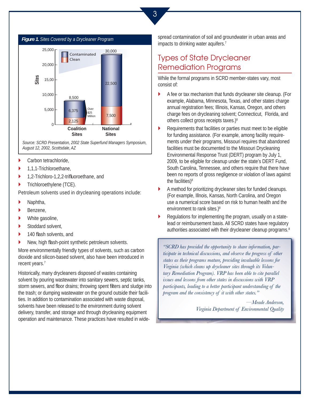



*Source: SCRD Presentation, 2002 State Superfund Managers Symposium, August 12, 2002, Scottsdale, AZ* 

- Carbon tetrachloride,  $\blacktriangleright$
- 1,1,1-Trichloroethane,  $\blacktriangleright$
- 1,2-Trichloro-1,2,2-trifluoroethane, and  $\blacktriangleright$
- Trichloroethylene (TCE). `

Petroleum solvents used in drycleaning operations include:

- Naphtha,  $\blacktriangleright$
- Benzene,  $\blacktriangleright$
- White gasoline,  $\blacktriangleright$
- Stoddard solvent,  $\blacksquare$
- 140 flash solvents, and  $\blacktriangleright$
- New, high flash-point synthetic petroleum solvents.  $\overline{\phantom{a}}$

More environmentally friendly types of solvents, such as carbon dioxide and silicon-based solvent, also have been introduced in recent years.<sup>7</sup>

Historically, many drycleaners disposed of wastes containing solvent by pouring wastewater into sanitary sewers, septic tanks, storm sewers, and floor drains; throwing spent filters and sludge into the trash; or dumping wastewater on the ground outside their facilities. In addition to contamination associated with waste disposal, solvents have been released to the environment during solvent delivery, transfer, and storage and through drycleaning equipment operation and maintenance. These practices have resulted in wideimpacts to drinking water aquifers.<sup>7</sup> spread contamination of soil and groundwater in urban areas and

## Types of State Drycleaner Remediation Programs

While the formal programs in SCRD member-states vary, most consist of:

- A fee or tax mechanism that funds drycleaner site cleanup. (For example, Alabama, Minnesota, Texas, and other states charge annual registration fees; Illinois, Kansas, Oregon, and others charge fees on drycleaning solvent; Connecticut, Florida, and others collect gross receipts taxes.)8  $\blacktriangleright$
- Requirements that facilities or parties must meet to be eligible for funding assistance. (For example, among facility requirements under their programs, Missouri requires that abandoned facilities must be documented to the Missouri Drycleaning Environmental Response Trust (DERT) program by July 1, 2009, to be eligible for cleanup under the state's DERT Fund, South Carolina, Tennessee, and others require that there have been no reports of gross negligence or violation of laws against the facilities)<sup>8</sup>  $\blacktriangleright$
- A method for prioritizing drycleaner sites for funded cleanups. (For example, Illnois, Kansas, North Carolina, and Oregon use a numerical score based on risk to human health and the environment to rank sites.)<sup>8</sup>  $\blacktriangleright$
- Regulations for implementing the program, usually on a statelead or reimbursement basis. All SCRD states have regulatory authorities associated with their drycleaner cleanup programs.<sup>8</sup>  $\blacktriangleright$

*"SCRD has provided the opportunity to share information, participate in technical discussions, and observe the progress of other states as their programs mature, providing invaluable lessons for Virginia (which cleans up drycleaner sites through its Voluntary Remediation Program). VRP has been able to cite parallel issues and lessons from other states in discussions with VRP participants, leading to a better participant understanding of the program and the consistency of it with other states."* 

> *—Meade Anderson, Virginia Department of Environmental Quality*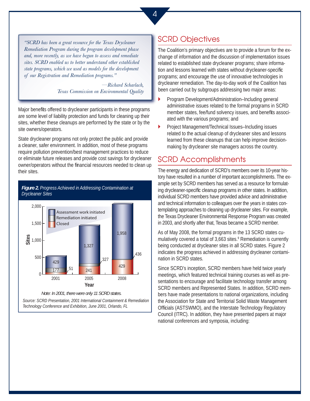*"SCRD has been a great resource for the Texas Drycleaner Remediation Program during the program development phase and, more recently, as we have begun to assess and remediate sites. SCRD enabled us to better understand other established state programs, which we used as models for the development of our Registration and Remediation programs."* 

> *—Richard Scharlach, Texas Commission on Environmental Quality*

Major benefits offered to drycleaner participants in these programs are some level of liability protection and funds for cleaning up their sites, whether these cleanups are performed by the state or by the site owners/operators.

State drycleaner programs not only protect the public and provide a cleaner, safer environment. In addition, most of these programs require pollution prevention/best management practices to reduce or eliminate future releases and provide cost savings for drycleaner owner/operators without the financial resources needed to clean up their sites.

#### *Figure 2. Progress Achieved in Addressing Contamination at Drycleaner Sites*



*Note: In 2001, there were only 11 SCRD states.* 

*Source: SCRD Presentation, 2001 International Containment & Remediation Technology Conference and Exhibition, June 2001, Orlando, FL* 

# SCRD Objectives

The Coalition's primary objectives are to provide a forum for the exchange of information and the discussion of implementation issues related to established state drycleaner programs; share information and lessons learned with states without drycleaner-specific programs; and encourage the use of innovative technologies in drycleaner remediation. The day-to-day work of the Coalition has been carried out by subgroups addressing two major areas:

- Program Development/Administration–Including general administrative issues related to the formal programs in SCRD member states, fee/fund solvency issues, and benefits associated with the various programs; and  $\overline{\phantom{a}}$
- Project Management/Technical Issues–Including issues related to the actual cleanup of drycleaner sites and lessons learned from these cleanups that can help improve decisionmaking by drycleaner site managers across the country.  $\blacktriangleright$

## SCRD Accomplishments

The energy and dedication of SCRD's members over its 10-year history have resulted in a number of important accomplishments. The example set by SCRD members has served as a resource for formulating drycleaner-specific cleanup programs in other states. In addition, individual SCRD members have provided advice and administrative and technical information to colleagues over the years in states contemplating approaches to cleaning up drycleaner sites. For example, the Texas Drycleaner Environmental Response Program was created in 2003, and shortly after that, Texas became a SCRD member.

As of May 2008, the formal programs in the 13 SCRD states cumulatively covered a total of 3,663 sites.<sup>9</sup> Remediation is currently being conducted at drycleaner sites in all SCRD states. Figure 2 indicates the progress achieved in addressing drycleaner contamination in SCRD states.

Since SCRD's inception, SCRD members have held twice yearly meetings, which featured technical training courses as well as presentations to encourage and facilitate technology transfer among SCRD members and Represented States. In addition, SCRD members have made presentations to national organizations, including the Association for State and Territorial Solid Waste Management Officials (ASTSWMO), and the Interstate Technology Regulatory Council (ITRC). In addition, they have presented papers at major national conferences and symposia, including: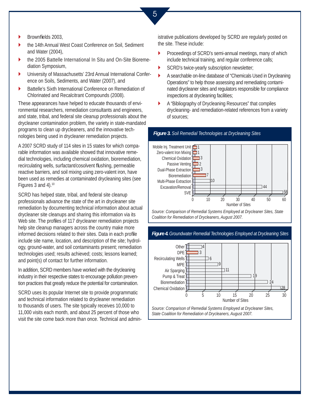5

- Brownfields 2003.  $\blacktriangleright$
- the 14th Annual West Coast Conference on Soil, Sediment and Water (2004),  $\blacktriangleright$
- the 2005 Battelle International In Situ and On-Site Bioremediation Symposium,  $\blacktriangleright$
- University of Massachusetts' 23rd Annual International Conference on Soils, Sediments, and Water (2007), and  $\blacktriangleright$
- Battelle's Sixth International Conference on Remediation of Chlorinated and Recalcitrant Compounds (2008).  $\blacktriangleright$

These appearances have helped to educate thousands of environmental researchers, remediation consultants and engineers, and state, tribal, and federal site cleanup professionals about the drycleaner contamination problem, the variety in state-mandated programs to clean up drycleaners, and the innovative technologies being used in drycleaner remediation projects.

A 2007 SCRD study of 114 sites in 15 states for which comparable information was available showed that innovative remedial technologies, including chemical oxidation, bioremediation, recirculating wells, surfactant/cosolvent flushing, permeable reactive barriers, and soil mixing using zero-valent iron, have been used as remedies at contaminated drycleaning sites (see Figures 3 and 4).<sup>10</sup>

SCRD has helped state, tribal, and federal site cleanup professionals advance the state of the art in drycleaner site remediation by documenting technical information about actual drycleaner site cleanups and sharing this information via its Web site. The profiles of 117 drycleaner remediation projects help site cleanup managers across the country make more informed decisions related to their sites. Data in each profile include site name, location, and description of the site; hydrology, ground-water, and soil contaminants present; remediation technologies used; results achieved; costs; lessons learned; and point(s) of contact for further information.

In addition, SCRD members have worked with the drycleaning industry in their respective states to encourage pollution prevention practices that greatly reduce the potential for contamination.

SCRD uses its popular Internet site to provide programmatic and technical information related to drycleaner remediation to thousands of users. The site typically receives 10,000 to 11,000 visits each month, and about 25 percent of those who visit the site come back more than once. Technical and administrative publications developed by SCRD are regularly posted on the site. These include:

- Proceedings of SCRD's semi-annual meetings, many of which include technical training, and regular conference calls;  $\blacktriangleright$
- SCRD's twice-yearly subscription newsletter;  $\blacktriangleright$

*Figure 3. Soil Remedial Technologies at Drycleaning Sites* 

- A searchable on-line database of "Chemicals Used in Drycleaning Operations" to help those assessing and remediating contaminated drycleaner sites and regulators responsible for compliance inspections at drycleaning facilities;  $\blacktriangleright$
- A "Bibliography of Drycleaning Resources" that compiles drycleaning- and remediation-related references from a variety of sources;  $\blacktriangleright$



*Source: Comparison of Remedial Systems Employed at Drycleaner Sites, State Coalition for Remediation of Drycleaners, August 2007.* 

*Figure 4. Groundwater Remedial Technologies Employed at Drycleaning Sites* 



*Source: Comparison of Remedial Systems Employed at Drycleaner Sites, State Coalition for Remediation of Drycleaners, August 2007.*